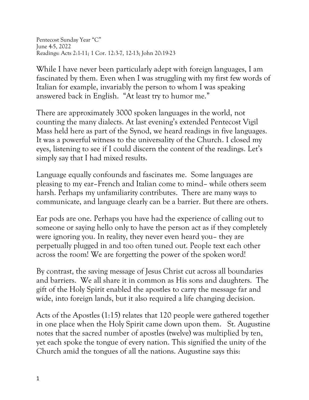Pentecost Sunday Year "C" June 4-5, 2022 Readings: Acts 2:1-11; 1 Cor. 12:3-7, 12-13; John 20:19-23

While I have never been particularly adept with foreign languages, I am fascinated by them. Even when I was struggling with my first few words of Italian for example, invariably the person to whom I was speaking answered back in English. "At least try to humor me."

There are approximately 3000 spoken languages in the world, not counting the many dialects. At last evening's extended Pentecost Vigil Mass held here as part of the Synod, we heard readings in five languages. It was a powerful witness to the universality of the Church. I closed my eyes, listening to see if I could discern the content of the readings. Let's simply say that I had mixed results.

Language equally confounds and fascinates me. Some languages are pleasing to my ear–French and Italian come to mind– while others seem harsh. Perhaps my unfamiliarity contributes. There are many ways to communicate, and language clearly can be a barrier. But there are others.

Ear pods are one. Perhaps you have had the experience of calling out to someone or saying hello only to have the person act as if they completely were ignoring you. In reality, they never even heard you– they are perpetually plugged in and too often tuned out. People text each other across the room! We are forgetting the power of the spoken word!

By contrast, the saving message of Jesus Christ cut across all boundaries and barriers. We all share it in common as His sons and daughters. The gift of the Holy Spirit enabled the apostles to carry the message far and wide, into foreign lands, but it also required a life changing decision.

Acts of the Apostles (1:15) relates that 120 people were gathered together in one place when the Holy Spirit came down upon them. St. Augustine notes that the sacred number of apostles (twelve) was multiplied by ten, yet each spoke the tongue of every nation. This signified the unity of the Church amid the tongues of all the nations. Augustine says this: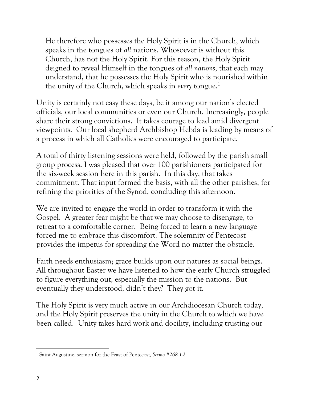He therefore who possesses the Holy Spirit is in the Church, which speaks in the tongues of *all* nations. Whosoever is without this Church, has not the Holy Spirit. For this reason, the Holy Spirit deigned to reveal Himself in the tongues of *all nations*, that each may understand, that he possesses the Holy Spirit who is nourished within the unity of the Church, which speaks in *every* tongue.<sup>1</sup>

Unity is certainly not easy these days, be it among our nation's elected officials, our local communities or even our Church. Increasingly, people share their strong convictions. It takes courage to lead amid divergent viewpoints. Our local shepherd Archbishop Hebda is leading by means of a process in which all Catholics were encouraged to participate.

A total of thirty listening sessions were held, followed by the parish small group process. I was pleased that over 100 parishioners participated for the six-week session here in this parish. In this day, that takes commitment. That input formed the basis, with all the other parishes, for refining the priorities of the Synod, concluding this afternoon.

We are invited to engage the world in order to transform it with the Gospel. A greater fear might be that we may choose to disengage, to retreat to a comfortable corner. Being forced to learn a new language forced me to embrace this discomfort. The solemnity of Pentecost provides the impetus for spreading the Word no matter the obstacle.

Faith needs enthusiasm; grace builds upon our natures as social beings. All throughout Easter we have listened to how the early Church struggled to figure everything out, especially the mission to the nations. But eventually they understood, didn't they? They got it.

The Holy Spirit is very much active in our Archdiocesan Church today, and the Holy Spirit preserves the unity in the Church to which we have been called. Unity takes hard work and docility, including trusting our

<sup>1</sup> Saint Augustine, sermon for the Feast of Pentecost*, Sermo #268.1-2*